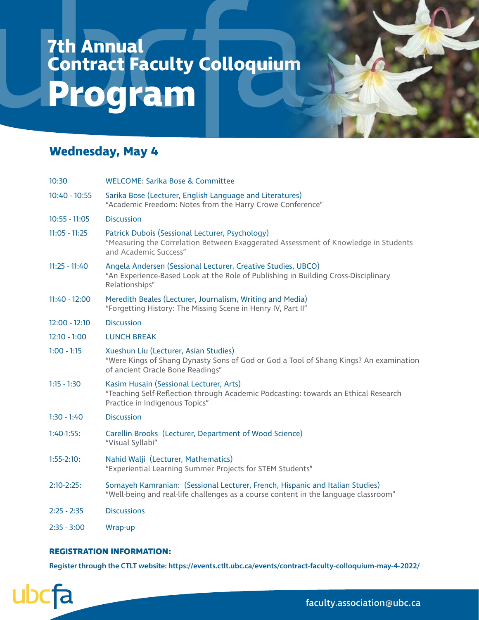## **7th Annual Contract Faculty Colloquium Program**

### **Wednesday, May 4**

| 10:30           | WELCOME: Sarika Bose & Committee                                                                                                                                     |
|-----------------|----------------------------------------------------------------------------------------------------------------------------------------------------------------------|
| $10:40 - 10:55$ | Sarika Bose (Lecturer, English Language and Literatures)<br>"Academic Freedom: Notes from the Harry Crowe Conference"                                                |
| $10:55 - 11:05$ | <b>Discussion</b>                                                                                                                                                    |
| $11:05 - 11:25$ | Patrick Dubois (Sessional Lecturer, Psychology)<br>"Measuring the Correlation Between Exaggerated Assessment of Knowledge in Students<br>and Academic Success"       |
| $11:25 - 11:40$ | Angela Andersen (Sessional Lecturer, Creative Studies, UBCO)<br>"An Experience-Based Look at the Role of Publishing in Building Cross-Disciplinary<br>Relationships" |
| $11:40 - 12:00$ | Meredith Beales (Lecturer, Journalism, Writing and Media)<br>"Forgetting History: The Missing Scene in Henry IV, Part II"                                            |
| $12:00 - 12:10$ | <b>Discussion</b>                                                                                                                                                    |
| $12:10 - 1:00$  | <b>LUNCH BREAK</b>                                                                                                                                                   |
| $1:00 - 1:15$   | Xueshun Liu (Lecturer, Asian Studies)<br>"Were Kings of Shang Dynasty Sons of God or God a Tool of Shang Kings? An examination<br>of ancient Oracle Bone Readings"   |
| $1:15 - 1:30$   | Kasim Husain (Sessional Lecturer, Arts)<br>"Teaching Self-Reflection through Academic Podcasting: towards an Ethical Research<br>Practice in Indigenous Topics"      |
| $1:30 - 1:40$   | <b>Discussion</b>                                                                                                                                                    |
| $1:40-1:55:$    | Carellin Brooks (Lecturer, Department of Wood Science)<br>"Visual Syllabi"                                                                                           |
| $1:55-2:10:$    | Nahid Walji (Lecturer, Mathematics)<br>"Experiential Learning Summer Projects for STEM Students"                                                                     |
| $2:10-2:25$ :   | Somayeh Kamranian: (Sessional Lecturer, French, Hispanic and Italian Studies)<br>"Well-being and real-life challenges as a course content in the language classroom" |
| $2:25 - 2:35$   | <b>Discussions</b>                                                                                                                                                   |
| $2:35 - 3:00$   | Wrap-up                                                                                                                                                              |

#### **REGISTRATION INFORMATION:**

**Register through the CTLT website: https://events.ctlt.ubc.ca/events/contract-faculty-colloquium-may-4-2022/**



faculty.association@ubc.ca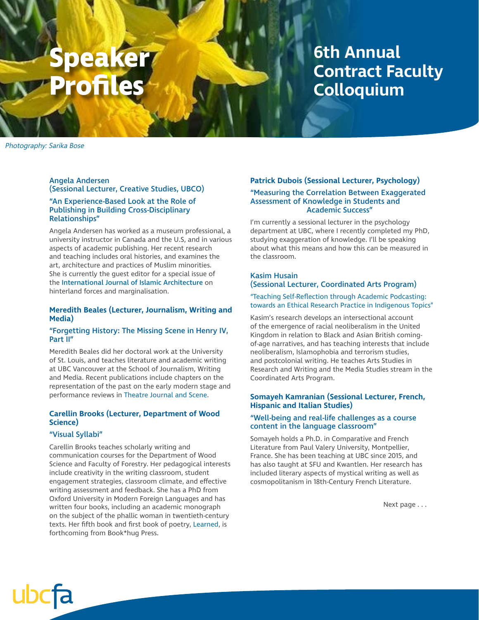# **eake Profiles**

### **6th Annual Contract Faculty Colloquium**

Photography: Sarika Bose

#### Angela Andersen (Sessional Lecturer, Creative Studies, UBCO)

#### "An Experience-Based Look at the Role of Publishing in Building Cross-Disciplinary Relationships"

Angela Andersen has worked as a museum professional, a university instructor in Canada and the U.S, and in various aspects of academic publishing. Her recent research and teaching includes oral histories, and examines the art, architecture and practices of Muslim minorities. She is currently the guest editor for a special issue of the International Journal of Islamic Architecture on hinterland forces and marginalisation.

#### **Meredith Beales (Lecturer, Journalism, Writing and Media)**

#### "Forgetting History: The Missing Scene in Henry IV, Part II"

Meredith Beales did her doctoral work at the University of St. Louis, and teaches literature and academic writing at UBC Vancouver at the School of Journalism, Writing and Media. Recent publications include chapters on the representation of the past on the early modern stage and performance reviews in Theatre Journal and Scene.

#### **Carellin Brooks (Lecturer, Department of Wood Science)**

#### "Visual Syllabi"

Carellin Brooks teaches scholarly writing and communication courses for the Department of Wood Science and Faculty of Forestry. Her pedagogical interests include creativity in the writing classroom, student engagement strategies, classroom climate, and effective writing assessment and feedback. She has a PhD from Oxford University in Modern Foreign Languages and has written four books, including an academic monograph on the subject of the phallic woman in twentieth-century texts. Her fifth book and first book of poetry, Learned, is forthcoming from Book\*hug Press.

#### **Patrick Dubois (Sessional Lecturer, Psychology)**

#### "Measuring the Correlation Between Exaggerated Assessment of Knowledge in Students and Academic Success"

I'm currently a sessional lecturer in the psychology department at UBC, where I recently completed my PhD, studying exaggeration of knowledge. I'll be speaking about what this means and how this can be measured in the classroom.

#### Kasim Husain (Sessional Lecturer, Coordinated Arts Program)

#### "Teaching Self-Reflection through Academic Podcasting: towards an Ethical Research Practice in Indigenous Topics"

Kasim's research develops an intersectional account of the emergence of racial neoliberalism in the United Kingdom in relation to Black and Asian British comingof-age narratives, and has teaching interests that include neoliberalism, Islamophobia and terrorism studies, and postcolonial writing. He teaches Arts Studies in Research and Writing and the Media Studies stream in the Coordinated Arts Program.

#### **Somayeh Kamranian (Sessional Lecturer, French, Hispanic and Italian Studies)**

#### "Well-being and real-life challenges as a course content in the language classroom"

Somayeh holds a Ph.D. in Comparative and French Literature from Paul Valery University, Montpellier, France. She has been teaching at UBC since 2015, and has also taught at SFU and Kwantlen. Her research has included literary aspects of mystical writing as well as cosmopolitanism in 18th-Century French Literature.

Next page . . .